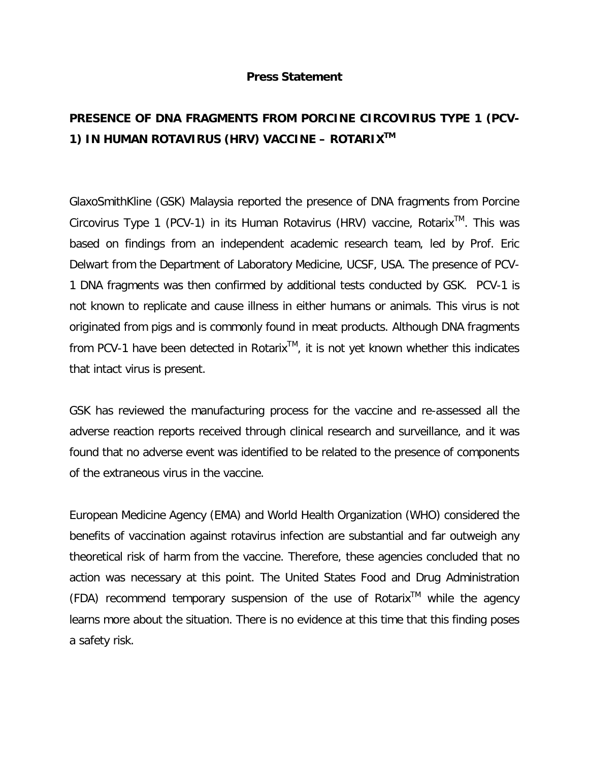## **Press Statement**

## **PRESENCE OF DNA FRAGMENTS FROM PORCINE CIRCOVIRUS TYPE 1 (PCV-1) IN HUMAN ROTAVIRUS (HRV) VACCINE – ROTARIXTM**

GlaxoSmithKline (GSK) Malaysia reported the presence of DNA fragments from Porcine Circovirus Type 1 (PCV-1) in its Human Rotavirus (HRV) vaccine, Rotarix<sup>TM</sup>. This was based on findings from an independent academic research team, led by Prof. Eric Delwart from the Department of Laboratory Medicine, UCSF, USA. The presence of PCV-1 DNA fragments was then confirmed by additional tests conducted by GSK. PCV-1 is not known to replicate and cause illness in either humans or animals. This virus is not originated from pigs and is commonly found in meat products. Although DNA fragments from PCV-1 have been detected in Rotarix<sup>TM</sup>, it is not yet known whether this indicates that intact virus is present.

GSK has reviewed the manufacturing process for the vaccine and re-assessed all the adverse reaction reports received through clinical research and surveillance, and it was found that no adverse event was identified to be related to the presence of components of the extraneous virus in the vaccine.

European Medicine Agency (EMA) and World Health Organization (WHO) considered the benefits of vaccination against rotavirus infection are substantial and far outweigh any theoretical risk of harm from the vaccine. Therefore, these agencies concluded that no action was necessary at this point. The United States Food and Drug Administration  $(FDA)$  recommend temporary suspension of the use of Rotarix<sup>TM</sup> while the agency learns more about the situation. There is no evidence at this time that this finding poses a safety risk.